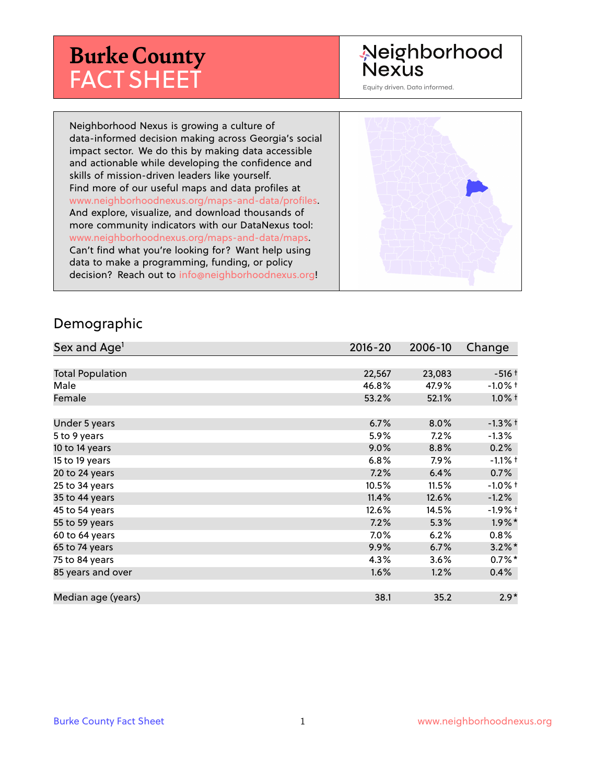# **Burke County** FACT SHEET

# Neighborhood **Nexus**

Equity driven. Data informed.

Neighborhood Nexus is growing a culture of data-informed decision making across Georgia's social impact sector. We do this by making data accessible and actionable while developing the confidence and skills of mission-driven leaders like yourself. Find more of our useful maps and data profiles at www.neighborhoodnexus.org/maps-and-data/profiles. And explore, visualize, and download thousands of more community indicators with our DataNexus tool: www.neighborhoodnexus.org/maps-and-data/maps. Can't find what you're looking for? Want help using data to make a programming, funding, or policy decision? Reach out to [info@neighborhoodnexus.org!](mailto:info@neighborhoodnexus.org)



#### Demographic

| Sex and Age <sup>1</sup> | $2016 - 20$ | 2006-10 | Change               |
|--------------------------|-------------|---------|----------------------|
|                          |             |         |                      |
| <b>Total Population</b>  | 22,567      | 23,083  | $-516+$              |
| Male                     | 46.8%       | 47.9%   | $-1.0\%$ †           |
| Female                   | 53.2%       | 52.1%   | $1.0\%$ †            |
|                          |             |         |                      |
| Under 5 years            | 6.7%        | 8.0%    | $-1.3%$ †            |
| 5 to 9 years             | 5.9%        | 7.2%    | $-1.3\%$             |
| 10 to 14 years           | $9.0\%$     | 8.8%    | 0.2%                 |
| 15 to 19 years           | 6.8%        | 7.9%    | $-1.1%$ †            |
| 20 to 24 years           | 7.2%        | 6.4%    | 0.7%                 |
| 25 to 34 years           | 10.5%       | 11.5%   | $-1.0%$ +            |
| 35 to 44 years           | 11.4%       | 12.6%   | $-1.2%$              |
| 45 to 54 years           | 12.6%       | 14.5%   | -1.9% †              |
| 55 to 59 years           | 7.2%        | 5.3%    | $1.9\%$ *            |
| 60 to 64 years           | 7.0%        | 6.2%    | 0.8%                 |
| 65 to 74 years           | 9.9%        | 6.7%    | $3.2\%$ *            |
| 75 to 84 years           | 4.3%        | 3.6%    | $0.7\%$ <sup>*</sup> |
| 85 years and over        | 1.6%        | 1.2%    | $0.4\%$              |
|                          |             |         |                      |
| Median age (years)       | 38.1        | 35.2    | $2.9*$               |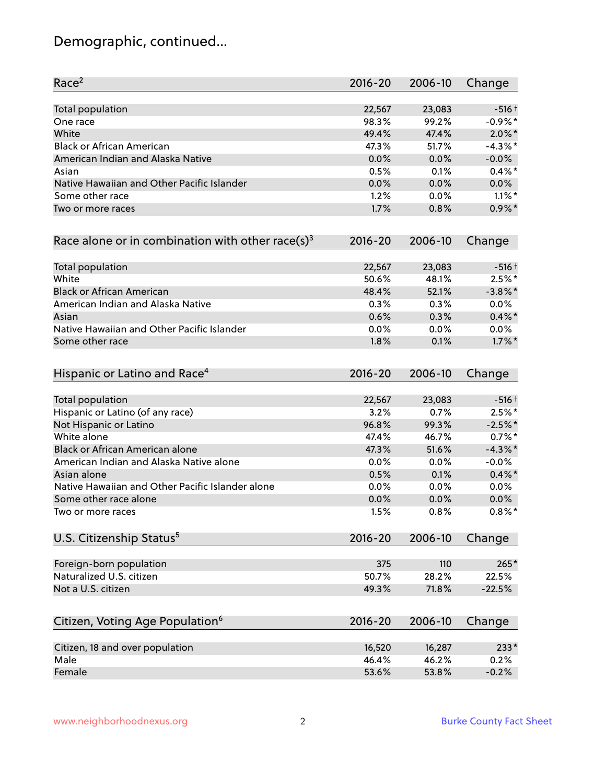# Demographic, continued...

| Race <sup>2</sup>                                   | $2016 - 20$ | 2006-10 | Change     |
|-----------------------------------------------------|-------------|---------|------------|
| <b>Total population</b>                             | 22,567      | 23,083  | $-516+$    |
| One race                                            | 98.3%       | 99.2%   | $-0.9%$ *  |
| White                                               | 49.4%       | 47.4%   | $2.0\%$ *  |
| <b>Black or African American</b>                    | 47.3%       | 51.7%   | $-4.3\%$ * |
| American Indian and Alaska Native                   | 0.0%        | 0.0%    | $-0.0%$    |
| Asian                                               | 0.5%        | 0.1%    | $0.4\%$ *  |
| Native Hawaiian and Other Pacific Islander          | 0.0%        | 0.0%    | $0.0\%$    |
| Some other race                                     | 1.2%        | 0.0%    | $1.1\%$ *  |
| Two or more races                                   | 1.7%        | 0.8%    | $0.9\%$ *  |
| Race alone or in combination with other race(s) $3$ | $2016 - 20$ | 2006-10 | Change     |
| Total population                                    | 22,567      | 23,083  | $-516+$    |
| White                                               | 50.6%       | 48.1%   | $2.5%$ *   |
| <b>Black or African American</b>                    | 48.4%       | 52.1%   | $-3.8\%$ * |
| American Indian and Alaska Native                   | 0.3%        | 0.3%    | 0.0%       |
| Asian                                               | 0.6%        | 0.3%    | $0.4\% *$  |
| Native Hawaiian and Other Pacific Islander          | 0.0%        | 0.0%    | 0.0%       |
| Some other race                                     | 1.8%        | 0.1%    | $1.7\%$ *  |
| Hispanic or Latino and Race <sup>4</sup>            | $2016 - 20$ | 2006-10 | Change     |
| <b>Total population</b>                             | 22,567      | 23,083  | $-516+$    |
| Hispanic or Latino (of any race)                    | 3.2%        | 0.7%    | $2.5%$ *   |
| Not Hispanic or Latino                              | 96.8%       | 99.3%   | $-2.5%$ *  |
| White alone                                         | 47.4%       | 46.7%   | $0.7%$ *   |
| Black or African American alone                     | 47.3%       | 51.6%   | $-4.3\%$ * |
| American Indian and Alaska Native alone             | 0.0%        | $0.0\%$ | $-0.0%$    |
| Asian alone                                         | 0.5%        | 0.1%    | $0.4\%$ *  |
| Native Hawaiian and Other Pacific Islander alone    | 0.0%        | 0.0%    | $0.0\%$    |
| Some other race alone                               | 0.0%        | 0.0%    | $0.0\%$    |
| Two or more races                                   | 1.5%        | 0.8%    | $0.8\%$ *  |
| U.S. Citizenship Status <sup>5</sup>                | $2016 - 20$ | 2006-10 | Change     |
| Foreign-born population                             | 375         | 110     | $265*$     |
| Naturalized U.S. citizen                            | 50.7%       | 28.2%   | 22.5%      |
| Not a U.S. citizen                                  | 49.3%       | 71.8%   | $-22.5%$   |
| Citizen, Voting Age Population <sup>6</sup>         | $2016 - 20$ | 2006-10 | Change     |
| Citizen, 18 and over population                     | 16,520      | 16,287  | $233*$     |
| Male                                                | 46.4%       | 46.2%   | 0.2%       |
| Female                                              | 53.6%       | 53.8%   | $-0.2%$    |
|                                                     |             |         |            |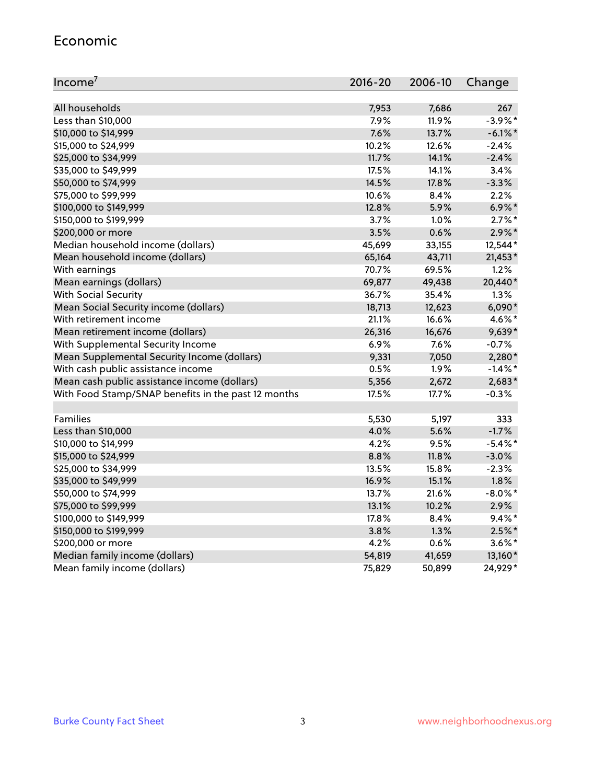#### Economic

| Income <sup>7</sup>                                 | $2016 - 20$ | 2006-10 | Change     |
|-----------------------------------------------------|-------------|---------|------------|
|                                                     |             |         |            |
| All households                                      | 7,953       | 7,686   | 267        |
| Less than \$10,000                                  | 7.9%        | 11.9%   | $-3.9\%$ * |
| \$10,000 to \$14,999                                | 7.6%        | 13.7%   | $-6.1\%$ * |
| \$15,000 to \$24,999                                | 10.2%       | 12.6%   | $-2.4%$    |
| \$25,000 to \$34,999                                | 11.7%       | 14.1%   | $-2.4%$    |
| \$35,000 to \$49,999                                | 17.5%       | 14.1%   | 3.4%       |
| \$50,000 to \$74,999                                | 14.5%       | 17.8%   | $-3.3%$    |
| \$75,000 to \$99,999                                | 10.6%       | 8.4%    | 2.2%       |
| \$100,000 to \$149,999                              | 12.8%       | 5.9%    | $6.9\%$ *  |
| \$150,000 to \$199,999                              | 3.7%        | 1.0%    | $2.7\%$ *  |
| \$200,000 or more                                   | 3.5%        | 0.6%    | $2.9\%$ *  |
| Median household income (dollars)                   | 45,699      | 33,155  | 12,544*    |
| Mean household income (dollars)                     | 65,164      | 43,711  | 21,453*    |
| With earnings                                       | 70.7%       | 69.5%   | 1.2%       |
| Mean earnings (dollars)                             | 69,877      | 49,438  | 20,440*    |
| <b>With Social Security</b>                         | 36.7%       | 35.4%   | 1.3%       |
| Mean Social Security income (dollars)               | 18,713      | 12,623  | $6,090*$   |
| With retirement income                              | 21.1%       | 16.6%   | 4.6%*      |
| Mean retirement income (dollars)                    | 26,316      | 16,676  | 9,639*     |
| With Supplemental Security Income                   | 6.9%        | 7.6%    | $-0.7%$    |
| Mean Supplemental Security Income (dollars)         | 9,331       | 7,050   | 2,280*     |
| With cash public assistance income                  | 0.5%        | 1.9%    | $-1.4\%$ * |
| Mean cash public assistance income (dollars)        | 5,356       | 2,672   | 2,683*     |
| With Food Stamp/SNAP benefits in the past 12 months | 17.5%       | 17.7%   | $-0.3%$    |
|                                                     |             |         |            |
| Families                                            | 5,530       | 5,197   | 333        |
| Less than \$10,000                                  | 4.0%        | 5.6%    | $-1.7%$    |
| \$10,000 to \$14,999                                | 4.2%        | 9.5%    | $-5.4\%$ * |
| \$15,000 to \$24,999                                | 8.8%        | 11.8%   | $-3.0%$    |
| \$25,000 to \$34,999                                | 13.5%       | 15.8%   | $-2.3%$    |
| \$35,000 to \$49,999                                | 16.9%       | 15.1%   | $1.8\%$    |
| \$50,000 to \$74,999                                | 13.7%       | 21.6%   | $-8.0\%$ * |
| \$75,000 to \$99,999                                | 13.1%       | 10.2%   | 2.9%       |
| \$100,000 to \$149,999                              | 17.8%       | 8.4%    | $9.4\%$ *  |
| \$150,000 to \$199,999                              | 3.8%        | 1.3%    | $2.5\%$ *  |
| \$200,000 or more                                   | 4.2%        | 0.6%    | $3.6\%$ *  |
| Median family income (dollars)                      | 54,819      | 41,659  | 13,160*    |
| Mean family income (dollars)                        | 75,829      | 50,899  | 24,929*    |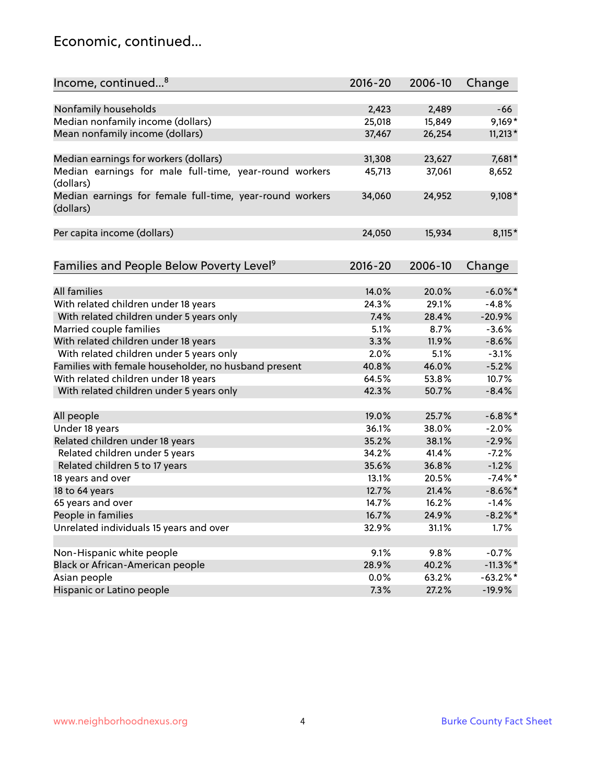### Economic, continued...

| Income, continued <sup>8</sup>                                        | $2016 - 20$ | 2006-10 | Change      |
|-----------------------------------------------------------------------|-------------|---------|-------------|
|                                                                       |             |         |             |
| Nonfamily households                                                  | 2,423       | 2,489   | -66         |
| Median nonfamily income (dollars)                                     | 25,018      | 15,849  | $9,169*$    |
| Mean nonfamily income (dollars)                                       | 37,467      | 26,254  | $11,213*$   |
| Median earnings for workers (dollars)                                 | 31,308      | 23,627  | 7,681*      |
| Median earnings for male full-time, year-round workers<br>(dollars)   | 45,713      | 37,061  | 8,652       |
| Median earnings for female full-time, year-round workers<br>(dollars) | 34,060      | 24,952  | $9,108*$    |
| Per capita income (dollars)                                           | 24,050      | 15,934  | $8,115*$    |
| Families and People Below Poverty Level <sup>9</sup>                  | $2016 - 20$ | 2006-10 | Change      |
|                                                                       |             |         |             |
| <b>All families</b>                                                   | 14.0%       | 20.0%   | $-6.0\%$ *  |
| With related children under 18 years                                  | 24.3%       | 29.1%   | $-4.8%$     |
| With related children under 5 years only                              | 7.4%        | 28.4%   | $-20.9%$    |
| Married couple families                                               | 5.1%        | 8.7%    | $-3.6%$     |
| With related children under 18 years                                  | 3.3%        | 11.9%   | $-8.6%$     |
| With related children under 5 years only                              | 2.0%        | 5.1%    | $-3.1%$     |
| Families with female householder, no husband present                  | 40.8%       | 46.0%   | $-5.2%$     |
| With related children under 18 years                                  | 64.5%       | 53.8%   | 10.7%       |
| With related children under 5 years only                              | 42.3%       | 50.7%   | $-8.4%$     |
| All people                                                            | 19.0%       | 25.7%   | $-6.8\%$ *  |
| Under 18 years                                                        | 36.1%       | 38.0%   | $-2.0%$     |
| Related children under 18 years                                       | 35.2%       | 38.1%   | $-2.9%$     |
| Related children under 5 years                                        | 34.2%       | 41.4%   | $-7.2%$     |
| Related children 5 to 17 years                                        | 35.6%       | 36.8%   | $-1.2%$     |
| 18 years and over                                                     | 13.1%       | 20.5%   | $-7.4\%$ *  |
| 18 to 64 years                                                        | 12.7%       | 21.4%   | $-8.6\%$ *  |
| 65 years and over                                                     | 14.7%       | 16.2%   | $-1.4%$     |
| People in families                                                    | 16.7%       | 24.9%   | $-8.2\%$ *  |
| Unrelated individuals 15 years and over                               | 32.9%       | 31.1%   | 1.7%        |
| Non-Hispanic white people                                             | 9.1%        | 9.8%    | $-0.7%$     |
| Black or African-American people                                      | 28.9%       | 40.2%   | $-11.3\%$ * |
| Asian people                                                          | $0.0\%$     | 63.2%   | $-63.2\%$ * |
| Hispanic or Latino people                                             | 7.3%        | 27.2%   | $-19.9%$    |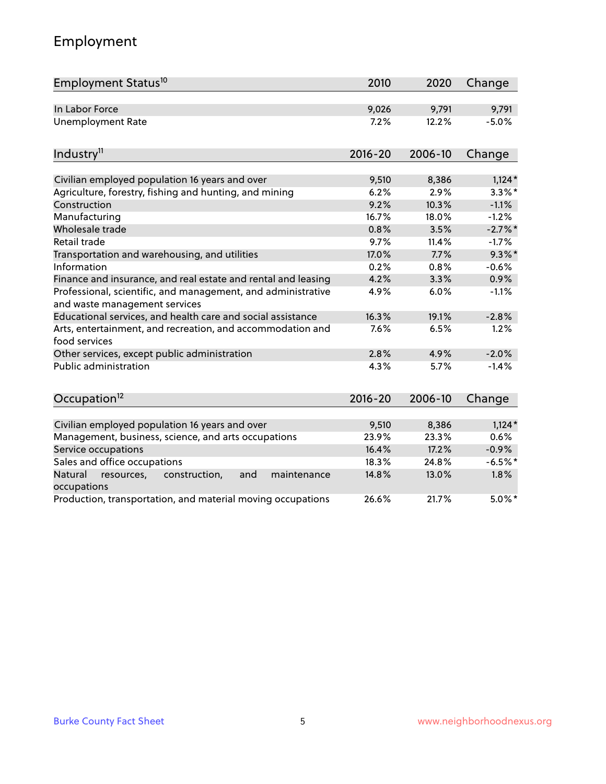# Employment

| Employment Status <sup>10</sup>                                                               | 2010        | 2020    | Change    |
|-----------------------------------------------------------------------------------------------|-------------|---------|-----------|
| In Labor Force                                                                                | 9,026       | 9,791   | 9,791     |
| <b>Unemployment Rate</b>                                                                      | 7.2%        | 12.2%   | $-5.0%$   |
| Industry <sup>11</sup>                                                                        | $2016 - 20$ | 2006-10 | Change    |
| Civilian employed population 16 years and over                                                | 9,510       | 8,386   | $1,124*$  |
| Agriculture, forestry, fishing and hunting, and mining                                        | 6.2%        | 2.9%    | $3.3\%$ * |
| Construction                                                                                  | 9.2%        | 10.3%   | $-1.1%$   |
| Manufacturing                                                                                 | 16.7%       | 18.0%   | $-1.2%$   |
| Wholesale trade                                                                               | 0.8%        | 3.5%    | $-2.7%$ * |
| Retail trade                                                                                  | 9.7%        | 11.4%   | $-1.7%$   |
| Transportation and warehousing, and utilities                                                 | 17.0%       | 7.7%    | $9.3\%$ * |
| Information                                                                                   | 0.2%        | 0.8%    | $-0.6%$   |
| Finance and insurance, and real estate and rental and leasing                                 | 4.2%        | 3.3%    | 0.9%      |
| Professional, scientific, and management, and administrative<br>and waste management services | 4.9%        | 6.0%    | $-1.1%$   |
| Educational services, and health care and social assistance                                   | 16.3%       | 19.1%   | $-2.8%$   |
| Arts, entertainment, and recreation, and accommodation and<br>food services                   | 7.6%        | 6.5%    | 1.2%      |
| Other services, except public administration                                                  | 2.8%        | 4.9%    | $-2.0%$   |
| <b>Public administration</b>                                                                  | 4.3%        | 5.7%    | $-1.4%$   |
| Occupation <sup>12</sup>                                                                      | $2016 - 20$ | 2006-10 | Change    |
|                                                                                               |             |         |           |
| Civilian employed population 16 years and over                                                | 9,510       | 8,386   | $1,124*$  |
| Management, business, science, and arts occupations                                           | 23.9%       | 23.3%   | 0.6%      |
| Service occupations                                                                           | 16.4%       | 17.2%   | $-0.9%$   |
| Sales and office occupations                                                                  | 18.3%       | 24.8%   | $-6.5%$ * |
| Natural<br>resources,<br>construction,<br>and<br>maintenance<br>occupations                   | 14.8%       | 13.0%   | 1.8%      |
| Production, transportation, and material moving occupations                                   | 26.6%       | 21.7%   | $5.0\%$ * |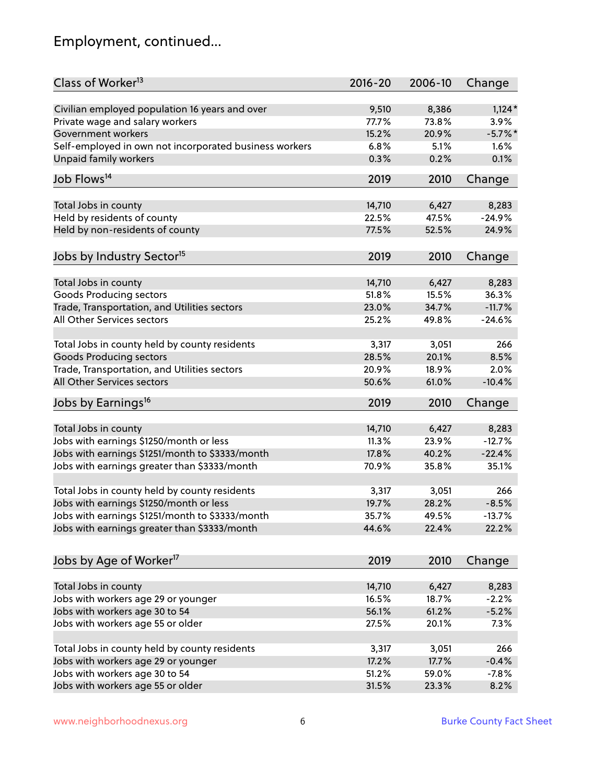# Employment, continued...

| Class of Worker <sup>13</sup>                          | $2016 - 20$ | 2006-10 | Change    |
|--------------------------------------------------------|-------------|---------|-----------|
| Civilian employed population 16 years and over         | 9,510       | 8,386   | $1,124*$  |
| Private wage and salary workers                        | 77.7%       | 73.8%   | 3.9%      |
| Government workers                                     | 15.2%       | 20.9%   | $-5.7%$ * |
| Self-employed in own not incorporated business workers | 6.8%        | 5.1%    | 1.6%      |
| Unpaid family workers                                  | 0.3%        | 0.2%    | 0.1%      |
| Job Flows <sup>14</sup>                                | 2019        | 2010    | Change    |
| Total Jobs in county                                   | 14,710      | 6,427   | 8,283     |
| Held by residents of county                            | 22.5%       | 47.5%   | $-24.9%$  |
|                                                        | 77.5%       |         |           |
| Held by non-residents of county                        |             | 52.5%   | 24.9%     |
| Jobs by Industry Sector <sup>15</sup>                  | 2019        | 2010    | Change    |
| Total Jobs in county                                   | 14,710      | 6,427   | 8,283     |
| Goods Producing sectors                                | 51.8%       | 15.5%   | 36.3%     |
| Trade, Transportation, and Utilities sectors           | 23.0%       | 34.7%   | $-11.7%$  |
| All Other Services sectors                             | 25.2%       | 49.8%   | $-24.6%$  |
|                                                        |             |         |           |
| Total Jobs in county held by county residents          | 3,317       | 3,051   | 266       |
| <b>Goods Producing sectors</b>                         | 28.5%       | 20.1%   | 8.5%      |
| Trade, Transportation, and Utilities sectors           | 20.9%       | 18.9%   | 2.0%      |
| All Other Services sectors                             | 50.6%       | 61.0%   | $-10.4%$  |
| Jobs by Earnings <sup>16</sup>                         | 2019        | 2010    | Change    |
| Total Jobs in county                                   | 14,710      | 6,427   | 8,283     |
| Jobs with earnings \$1250/month or less                | 11.3%       | 23.9%   | $-12.7%$  |
| Jobs with earnings \$1251/month to \$3333/month        | 17.8%       | 40.2%   | $-22.4%$  |
|                                                        | 70.9%       | 35.8%   | 35.1%     |
| Jobs with earnings greater than \$3333/month           |             |         |           |
| Total Jobs in county held by county residents          | 3,317       | 3,051   | 266       |
| Jobs with earnings \$1250/month or less                | 19.7%       | 28.2%   | $-8.5%$   |
| Jobs with earnings \$1251/month to \$3333/month        | 35.7%       | 49.5%   | $-13.7\%$ |
| Jobs with earnings greater than \$3333/month           | 44.6%       | 22.4%   | 22.2%     |
|                                                        |             |         |           |
| Jobs by Age of Worker <sup>17</sup>                    | 2019        | 2010    | Change    |
| Total Jobs in county                                   | 14,710      | 6,427   | 8,283     |
| Jobs with workers age 29 or younger                    | 16.5%       | 18.7%   | $-2.2%$   |
| Jobs with workers age 30 to 54                         | 56.1%       | 61.2%   | $-5.2%$   |
| Jobs with workers age 55 or older                      | 27.5%       | 20.1%   | 7.3%      |
|                                                        |             |         |           |
| Total Jobs in county held by county residents          | 3,317       | 3,051   | 266       |
| Jobs with workers age 29 or younger                    | 17.2%       | 17.7%   | $-0.4%$   |
| Jobs with workers age 30 to 54                         | 51.2%       | 59.0%   | $-7.8%$   |
| Jobs with workers age 55 or older                      | 31.5%       | 23.3%   | 8.2%      |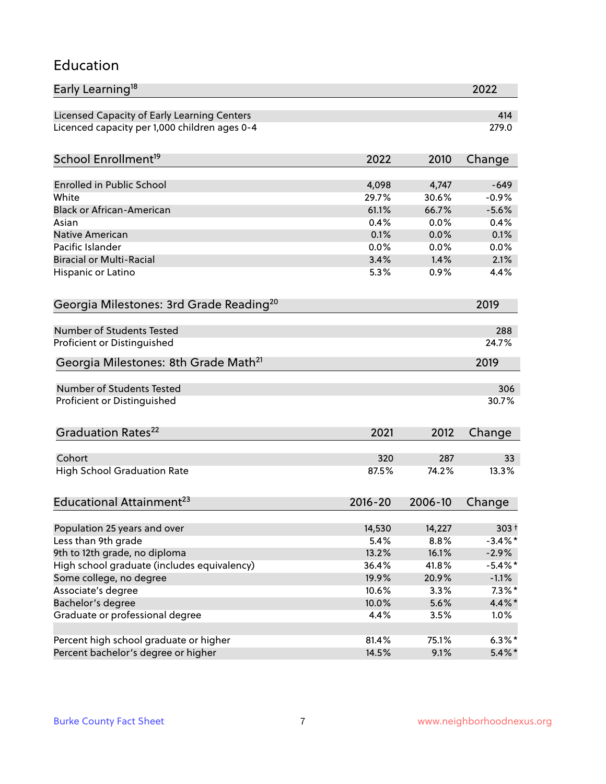#### Education

| Early Learning <sup>18</sup>                        |             |         | 2022       |
|-----------------------------------------------------|-------------|---------|------------|
| Licensed Capacity of Early Learning Centers         |             |         | 414        |
| Licenced capacity per 1,000 children ages 0-4       |             |         | 279.0      |
|                                                     |             |         |            |
| School Enrollment <sup>19</sup>                     | 2022        | 2010    | Change     |
| <b>Enrolled in Public School</b>                    | 4,098       | 4,747   | $-649$     |
| White                                               | 29.7%       | 30.6%   | $-0.9%$    |
| <b>Black or African-American</b>                    | 61.1%       | 66.7%   | $-5.6%$    |
| Asian                                               | 0.4%        | 0.0%    | 0.4%       |
| Native American                                     | 0.1%        | 0.0%    | 0.1%       |
| Pacific Islander                                    | 0.0%        | 0.0%    | 0.0%       |
| <b>Biracial or Multi-Racial</b>                     | 3.4%        | 1.4%    | 2.1%       |
| Hispanic or Latino                                  | 5.3%        | 0.9%    | 4.4%       |
|                                                     |             |         |            |
| Georgia Milestones: 3rd Grade Reading <sup>20</sup> |             |         | 2019       |
| Number of Students Tested                           |             |         | 288        |
| Proficient or Distinguished                         |             |         | 24.7%      |
| Georgia Milestones: 8th Grade Math <sup>21</sup>    |             |         | 2019       |
|                                                     |             |         |            |
| Number of Students Tested                           |             |         | 306        |
| Proficient or Distinguished                         |             |         | 30.7%      |
| Graduation Rates <sup>22</sup>                      | 2021        | 2012    | Change     |
| Cohort                                              | 320         | 287     | 33         |
| <b>High School Graduation Rate</b>                  | 87.5%       | 74.2%   | 13.3%      |
|                                                     |             |         |            |
| Educational Attainment <sup>23</sup>                | $2016 - 20$ | 2006-10 | Change     |
| Population 25 years and over                        | 14,530      | 14,227  | $303 +$    |
| Less than 9th grade                                 | 5.4%        | 8.8%    | $-3.4\%$ * |
| 9th to 12th grade, no diploma                       | 13.2%       | 16.1%   | $-2.9%$    |
| High school graduate (includes equivalency)         | 36.4%       | 41.8%   | $-5.4\%$ * |
| Some college, no degree                             | 19.9%       | 20.9%   | $-1.1%$    |
| Associate's degree                                  | 10.6%       | 3.3%    | $7.3\%$ *  |
| Bachelor's degree                                   | 10.0%       | 5.6%    | $4.4\%$ *  |
| Graduate or professional degree                     | 4.4%        | 3.5%    | 1.0%       |
|                                                     |             |         |            |
| Percent high school graduate or higher              | 81.4%       | 75.1%   | $6.3\%*$   |
| Percent bachelor's degree or higher                 | 14.5%       | 9.1%    | $5.4\%$ *  |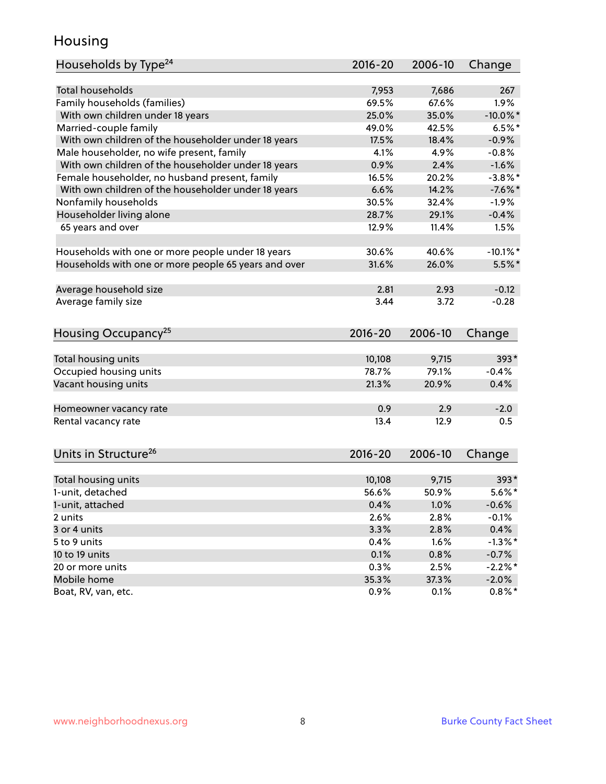### Housing

| Households by Type <sup>24</sup>                     | 2016-20     | 2006-10 | Change      |
|------------------------------------------------------|-------------|---------|-------------|
|                                                      |             |         |             |
| <b>Total households</b>                              | 7,953       | 7,686   | 267         |
| Family households (families)                         | 69.5%       | 67.6%   | 1.9%        |
| With own children under 18 years                     | 25.0%       | 35.0%   | $-10.0\%$ * |
| Married-couple family                                | 49.0%       | 42.5%   | $6.5%$ *    |
| With own children of the householder under 18 years  | 17.5%       | 18.4%   | $-0.9%$     |
| Male householder, no wife present, family            | 4.1%        | 4.9%    | $-0.8%$     |
| With own children of the householder under 18 years  | 0.9%        | 2.4%    | $-1.6%$     |
| Female householder, no husband present, family       | 16.5%       | 20.2%   | $-3.8\%$ *  |
| With own children of the householder under 18 years  | 6.6%        | 14.2%   | $-7.6%$     |
| Nonfamily households                                 | 30.5%       | 32.4%   | $-1.9%$     |
| Householder living alone                             | 28.7%       | 29.1%   | $-0.4%$     |
| 65 years and over                                    | 12.9%       | 11.4%   | 1.5%        |
| Households with one or more people under 18 years    | 30.6%       | 40.6%   | $-10.1\%$ * |
| Households with one or more people 65 years and over | 31.6%       | 26.0%   | $5.5\%$ *   |
|                                                      |             |         |             |
| Average household size                               | 2.81        | 2.93    | $-0.12$     |
| Average family size                                  | 3.44        | 3.72    | $-0.28$     |
| Housing Occupancy <sup>25</sup>                      | $2016 - 20$ | 2006-10 | Change      |
|                                                      |             |         |             |
| Total housing units                                  | 10,108      | 9,715   | 393*        |
| Occupied housing units                               | 78.7%       | 79.1%   | $-0.4%$     |
| Vacant housing units                                 | 21.3%       | 20.9%   | 0.4%        |
| Homeowner vacancy rate                               | 0.9         | 2.9     | $-2.0$      |
| Rental vacancy rate                                  | 13.4        | 12.9    | 0.5         |
| Units in Structure <sup>26</sup>                     | 2016-20     | 2006-10 | Change      |
|                                                      |             | 9,715   | 393*        |
| Total housing units                                  | 10,108      |         | $5.6\%$ *   |
| 1-unit, detached                                     | 56.6%       | 50.9%   |             |
| 1-unit, attached                                     | 0.4%        | 1.0%    | $-0.6%$     |
| 2 units                                              | 2.6%        | 2.8%    | $-0.1%$     |
| 3 or 4 units                                         | 3.3%        | 2.8%    | 0.4%        |
| 5 to 9 units                                         | 0.4%        | 1.6%    | $-1.3\%$ *  |
| 10 to 19 units                                       | 0.1%        | 0.8%    | $-0.7%$     |
| 20 or more units                                     | 0.3%        | 2.5%    | $-2.2%$ *   |
| Mobile home                                          | 35.3%       | 37.3%   | $-2.0\%$    |
| Boat, RV, van, etc.                                  | 0.9%        | 0.1%    | $0.8\%$ *   |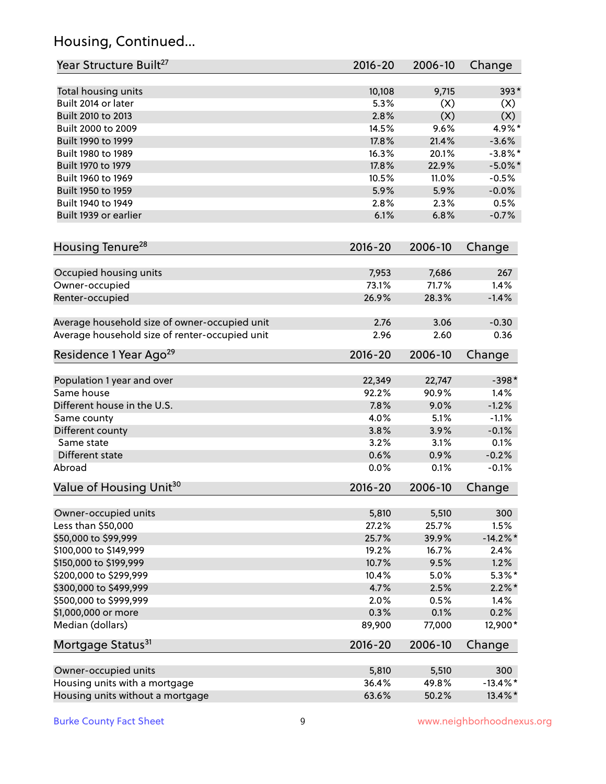# Housing, Continued...

| Year Structure Built <sup>27</sup>             | 2016-20     | 2006-10        | Change      |
|------------------------------------------------|-------------|----------------|-------------|
| Total housing units                            | 10,108      | 9,715          | $393*$      |
| Built 2014 or later                            | 5.3%        | (X)            | (X)         |
| Built 2010 to 2013                             | 2.8%        | (X)            | (X)         |
| Built 2000 to 2009                             | 14.5%       | 9.6%           | 4.9%*       |
| Built 1990 to 1999                             | 17.8%       | 21.4%          | $-3.6%$     |
| Built 1980 to 1989                             | 16.3%       | 20.1%          | $-3.8\%$ *  |
| Built 1970 to 1979                             | 17.8%       | 22.9%          | $-5.0\%$ *  |
| Built 1960 to 1969                             | 10.5%       | 11.0%          | $-0.5%$     |
| Built 1950 to 1959                             | 5.9%        | 5.9%           | $-0.0%$     |
| Built 1940 to 1949                             | 2.8%        | 2.3%           | 0.5%        |
| Built 1939 or earlier                          | 6.1%        | 6.8%           | $-0.7%$     |
| Housing Tenure <sup>28</sup>                   | $2016 - 20$ | 2006-10        | Change      |
|                                                | 7,953       |                | 267         |
| Occupied housing units<br>Owner-occupied       | 73.1%       | 7,686<br>71.7% | 1.4%        |
| Renter-occupied                                | 26.9%       | 28.3%          | $-1.4%$     |
|                                                |             |                |             |
| Average household size of owner-occupied unit  | 2.76        | 3.06           | $-0.30$     |
| Average household size of renter-occupied unit | 2.96        | 2.60           | 0.36        |
| Residence 1 Year Ago <sup>29</sup>             | 2016-20     | 2006-10        | Change      |
|                                                |             |                |             |
| Population 1 year and over                     | 22,349      | 22,747         | $-398*$     |
| Same house                                     | 92.2%       | 90.9%          | 1.4%        |
| Different house in the U.S.                    | 7.8%        | 9.0%           | $-1.2%$     |
| Same county                                    | 4.0%        | 5.1%           | $-1.1%$     |
| Different county                               | 3.8%        | 3.9%           | $-0.1%$     |
| Same state                                     | 3.2%        | 3.1%           | 0.1%        |
| Different state                                | 0.6%        | 0.9%           | $-0.2%$     |
| Abroad                                         | 0.0%        | 0.1%           | $-0.1%$     |
| Value of Housing Unit <sup>30</sup>            | $2016 - 20$ | 2006-10        | Change      |
| Owner-occupied units                           | 5,810       | 5,510          | 300         |
| Less than \$50,000                             | 27.2%       | 25.7%          | 1.5%        |
| \$50,000 to \$99,999                           | 25.7%       | 39.9%          | $-14.2\%$ * |
| \$100,000 to \$149,999                         | 19.2%       | 16.7%          | 2.4%        |
| \$150,000 to \$199,999                         | 10.7%       | 9.5%           | 1.2%        |
| \$200,000 to \$299,999                         | 10.4%       | 5.0%           | $5.3\%$ *   |
| \$300,000 to \$499,999                         | 4.7%        | 2.5%           | $2.2\%$ *   |
| \$500,000 to \$999,999                         | 2.0%        | 0.5%           | 1.4%        |
| \$1,000,000 or more                            | 0.3%        | 0.1%           | 0.2%        |
| Median (dollars)                               | 89,900      | 77,000         | 12,900*     |
| Mortgage Status <sup>31</sup>                  | $2016 - 20$ | 2006-10        | Change      |
| Owner-occupied units                           | 5,810       | 5,510          | 300         |
| Housing units with a mortgage                  | 36.4%       | 49.8%          | $-13.4\%$ * |
| Housing units without a mortgage               | 63.6%       | 50.2%          | 13.4%*      |
|                                                |             |                |             |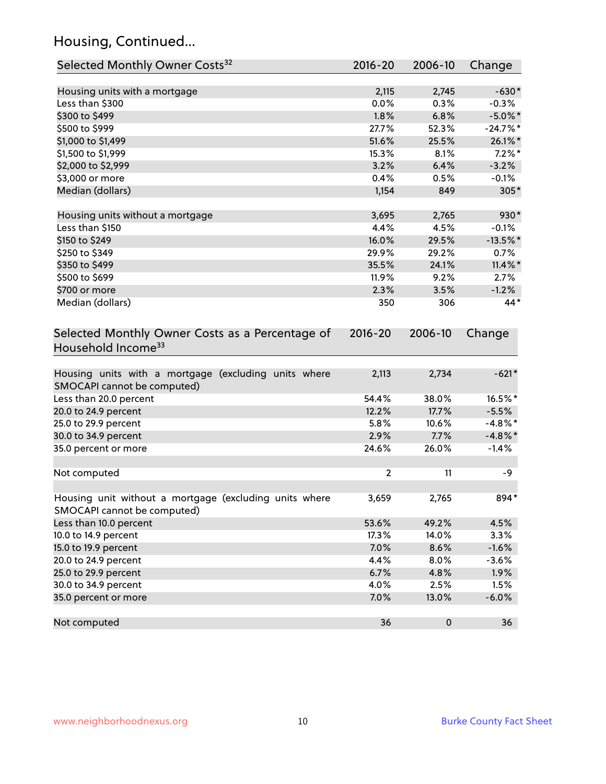# Housing, Continued...

| Selected Monthly Owner Costs <sup>32</sup>                                            | 2016-20        | 2006-10   | Change      |
|---------------------------------------------------------------------------------------|----------------|-----------|-------------|
| Housing units with a mortgage                                                         | 2,115          | 2,745     | $-630*$     |
| Less than \$300                                                                       | 0.0%           | 0.3%      | $-0.3%$     |
| \$300 to \$499                                                                        | 1.8%           | 6.8%      | $-5.0\%$ *  |
| \$500 to \$999                                                                        | 27.7%          | 52.3%     | $-24.7%$ *  |
| \$1,000 to \$1,499                                                                    | 51.6%          | 25.5%     | 26.1%*      |
| \$1,500 to \$1,999                                                                    | 15.3%          | 8.1%      | $7.2\%$ *   |
| \$2,000 to \$2,999                                                                    | 3.2%           | 6.4%      | $-3.2%$     |
| \$3,000 or more                                                                       | 0.4%           | 0.5%      | $-0.1%$     |
| Median (dollars)                                                                      | 1,154          | 849       | 305*        |
| Housing units without a mortgage                                                      | 3,695          | 2,765     | 930*        |
| Less than \$150                                                                       | 4.4%           | 4.5%      | $-0.1%$     |
| \$150 to \$249                                                                        | 16.0%          | 29.5%     | $-13.5\%$ * |
| \$250 to \$349                                                                        | 29.9%          | 29.2%     | 0.7%        |
| \$350 to \$499                                                                        | 35.5%          | 24.1%     | $11.4\%$ *  |
| \$500 to \$699                                                                        | 11.9%          | 9.2%      | 2.7%        |
| \$700 or more                                                                         | 2.3%           | 3.5%      | $-1.2%$     |
| Median (dollars)                                                                      | 350            | 306       | 44*         |
| Selected Monthly Owner Costs as a Percentage of<br>Household Income <sup>33</sup>     | $2016 - 20$    | 2006-10   | Change      |
| Housing units with a mortgage (excluding units where<br>SMOCAPI cannot be computed)   | 2,113          | 2,734     | $-621*$     |
| Less than 20.0 percent                                                                | 54.4%          | 38.0%     | 16.5%*      |
| 20.0 to 24.9 percent                                                                  | 12.2%          | 17.7%     | $-5.5%$     |
| 25.0 to 29.9 percent                                                                  | 5.8%           | 10.6%     | $-4.8\%$ *  |
| 30.0 to 34.9 percent                                                                  | 2.9%           | 7.7%      | $-4.8\%$ *  |
| 35.0 percent or more                                                                  | 24.6%          | 26.0%     | $-1.4%$     |
| Not computed                                                                          | $\overline{2}$ | 11        | $-9$        |
| Housing unit without a mortgage (excluding units where<br>SMOCAPI cannot be computed) | 3,659          | 2,765     | 894*        |
| Less than 10.0 percent                                                                | 53.6%          | 49.2%     | 4.5%        |
| 10.0 to 14.9 percent                                                                  | 17.3%          | 14.0%     | 3.3%        |
| 15.0 to 19.9 percent                                                                  | 7.0%           | 8.6%      | $-1.6%$     |
| 20.0 to 24.9 percent                                                                  | 4.4%           | 8.0%      | $-3.6%$     |
| 25.0 to 29.9 percent                                                                  | 6.7%           | 4.8%      | 1.9%        |
| 30.0 to 34.9 percent                                                                  | 4.0%           | 2.5%      | 1.5%        |
| 35.0 percent or more                                                                  | 7.0%           | 13.0%     | $-6.0%$     |
| Not computed                                                                          | 36             | $\pmb{0}$ | 36          |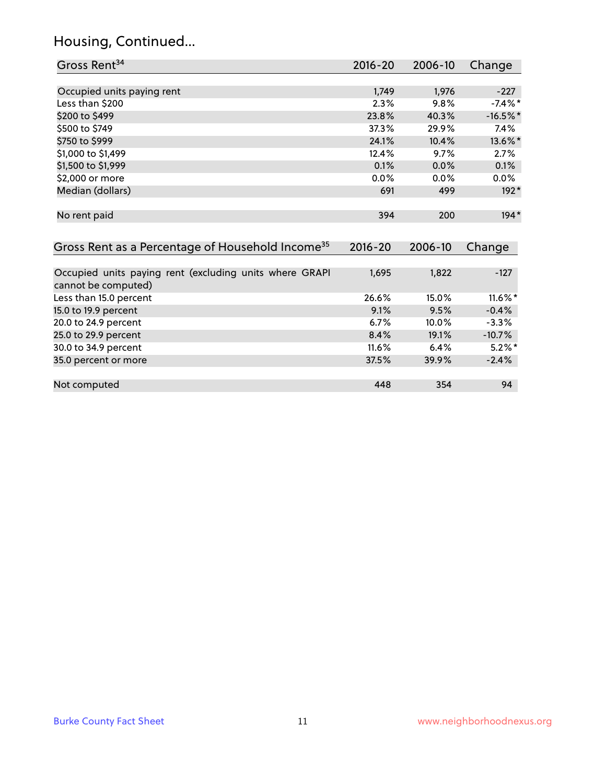# Housing, Continued...

| Gross Rent <sup>34</sup>                                                       | 2016-20     | 2006-10 | Change     |
|--------------------------------------------------------------------------------|-------------|---------|------------|
|                                                                                |             |         |            |
| Occupied units paying rent                                                     | 1,749       | 1,976   | $-227$     |
| Less than \$200                                                                | 2.3%        | 9.8%    | $-7.4%$ *  |
| \$200 to \$499                                                                 | 23.8%       | 40.3%   | $-16.5%$ * |
| \$500 to \$749                                                                 | 37.3%       | 29.9%   | 7.4%       |
| \$750 to \$999                                                                 | 24.1%       | 10.4%   | 13.6%*     |
| \$1,000 to \$1,499                                                             | 12.4%       | 9.7%    | 2.7%       |
| \$1,500 to \$1,999                                                             | 0.1%        | 0.0%    | 0.1%       |
| \$2,000 or more                                                                | 0.0%        | 0.0%    | $0.0\%$    |
| Median (dollars)                                                               | 691         | 499     | $192*$     |
| No rent paid                                                                   | 394         | 200     | $194*$     |
| Gross Rent as a Percentage of Household Income <sup>35</sup>                   | $2016 - 20$ | 2006-10 | Change     |
|                                                                                |             |         |            |
| Occupied units paying rent (excluding units where GRAPI<br>cannot be computed) | 1,695       | 1,822   | $-127$     |
| Less than 15.0 percent                                                         | 26.6%       | 15.0%   | 11.6%*     |
| 15.0 to 19.9 percent                                                           | 9.1%        | 9.5%    | $-0.4%$    |
| 20.0 to 24.9 percent                                                           | 6.7%        | 10.0%   | $-3.3%$    |
| 25.0 to 29.9 percent                                                           | 8.4%        | 19.1%   | $-10.7%$   |
| 30.0 to 34.9 percent                                                           | 11.6%       | 6.4%    | $5.2\%$ *  |
| 35.0 percent or more                                                           | 37.5%       | 39.9%   | $-2.4%$    |
| Not computed                                                                   | 448         | 354     | 94         |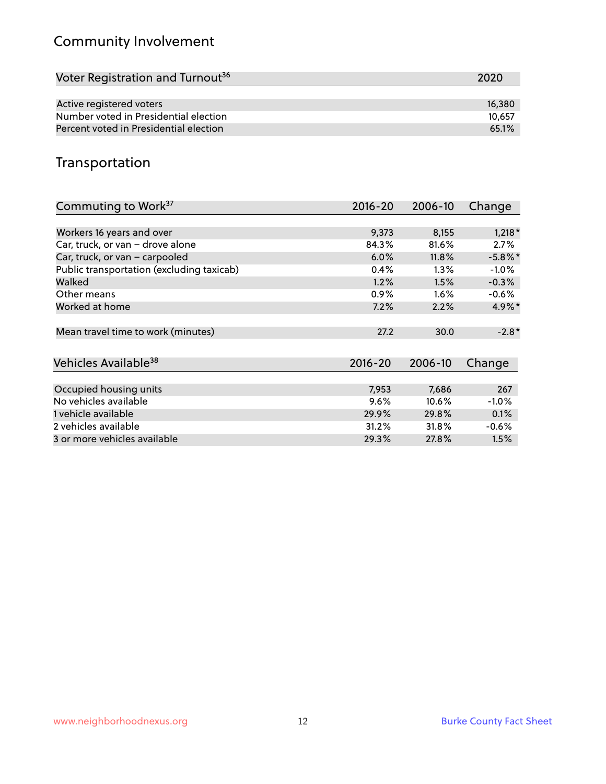# Community Involvement

| Voter Registration and Turnout <sup>36</sup> | 2020   |
|----------------------------------------------|--------|
|                                              |        |
| Active registered voters                     | 16,380 |
| Number voted in Presidential election        | 10.657 |
| Percent voted in Presidential election       | 65.1%  |

# Transportation

| Commuting to Work <sup>37</sup>           | 2016-20     | 2006-10 | Change               |
|-------------------------------------------|-------------|---------|----------------------|
|                                           |             |         |                      |
| Workers 16 years and over                 | 9,373       | 8,155   | $1,218*$             |
| Car, truck, or van - drove alone          | 84.3%       | 81.6%   | 2.7%                 |
| Car, truck, or van - carpooled            | 6.0%        | 11.8%   | $-5.8\%$ *           |
| Public transportation (excluding taxicab) | 0.4%        | $1.3\%$ | $-1.0\%$             |
| Walked                                    | 1.2%        | 1.5%    | $-0.3%$              |
| Other means                               | $0.9\%$     | $1.6\%$ | $-0.6\%$             |
| Worked at home                            | 7.2%        | 2.2%    | $4.9\%$ <sup>*</sup> |
| Mean travel time to work (minutes)        | 27.2        | 30.0    | $-2.8*$              |
| Vehicles Available <sup>38</sup>          | $2016 - 20$ | 2006-10 | Change               |
| Occupied housing units                    | 7,953       | 7,686   | 267                  |
| No vehicles available                     | 9.6%        | 10.6%   | $-1.0%$              |
| 1 vehicle available                       | 29.9%       | 29.8%   | 0.1%                 |
| 2 vehicles available                      | 31.2%       | 31.8%   | $-0.6%$              |
| 3 or more vehicles available              | 29.3%       | 27.8%   | 1.5%                 |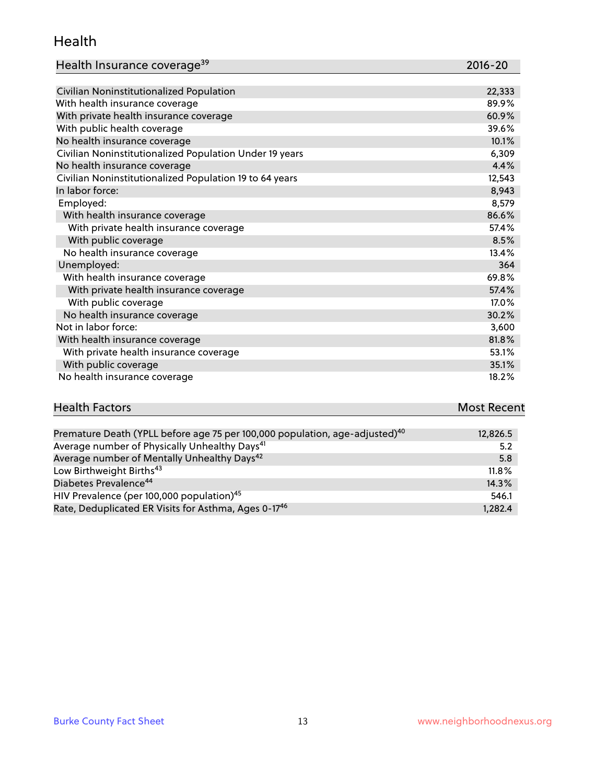#### Health

| Health Insurance coverage <sup>39</sup> | 2016-20 |
|-----------------------------------------|---------|
|-----------------------------------------|---------|

| Civilian Noninstitutionalized Population                | 22,333 |
|---------------------------------------------------------|--------|
| With health insurance coverage                          | 89.9%  |
| With private health insurance coverage                  | 60.9%  |
| With public health coverage                             | 39.6%  |
| No health insurance coverage                            | 10.1%  |
| Civilian Noninstitutionalized Population Under 19 years | 6,309  |
| No health insurance coverage                            | 4.4%   |
| Civilian Noninstitutionalized Population 19 to 64 years | 12,543 |
| In labor force:                                         | 8,943  |
| Employed:                                               | 8,579  |
| With health insurance coverage                          | 86.6%  |
| With private health insurance coverage                  | 57.4%  |
| With public coverage                                    | 8.5%   |
| No health insurance coverage                            | 13.4%  |
| Unemployed:                                             | 364    |
| With health insurance coverage                          | 69.8%  |
| With private health insurance coverage                  | 57.4%  |
| With public coverage                                    | 17.0%  |
| No health insurance coverage                            | 30.2%  |
| Not in labor force:                                     | 3,600  |
| With health insurance coverage                          | 81.8%  |
| With private health insurance coverage                  | 53.1%  |
| With public coverage                                    | 35.1%  |
| No health insurance coverage                            | 18.2%  |

| <b>Health Factors</b>                                                              | <b>Most Recent</b> |
|------------------------------------------------------------------------------------|--------------------|
|                                                                                    |                    |
| Decoration Death (VDU hafance of $75$ man $400,000$ manufation and adjusted $1040$ | 10001F             |

| Premature Death (YPLL before age 75 per 100,000 population, age-adjusted) <sup>40</sup> | 12,826.5 |
|-----------------------------------------------------------------------------------------|----------|
| Average number of Physically Unhealthy Days <sup>41</sup>                               | 5.2      |
| Average number of Mentally Unhealthy Days <sup>42</sup>                                 | 5.8      |
| Low Birthweight Births <sup>43</sup>                                                    | $11.8\%$ |
| Diabetes Prevalence <sup>44</sup>                                                       | 14.3%    |
| HIV Prevalence (per 100,000 population) <sup>45</sup>                                   | 546.1    |
| Rate, Deduplicated ER Visits for Asthma, Ages 0-17 <sup>46</sup>                        | 1,282.4  |